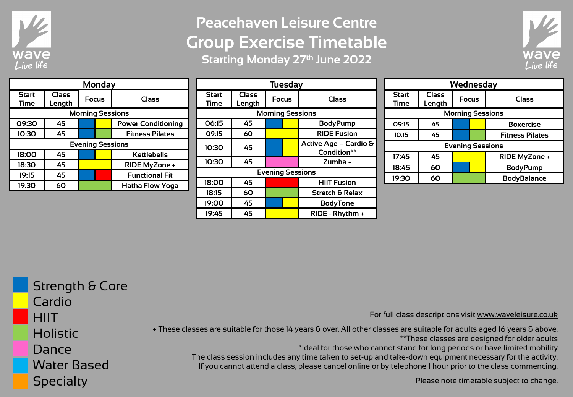

## **Peacehaven Leisure Centre Group Exercise Timetable Starting Monday 27th June 2022**



| <b>Monday</b>           |              |              |  |                           |  |  |
|-------------------------|--------------|--------------|--|---------------------------|--|--|
| <b>Start</b>            | <b>Class</b> | <b>Focus</b> |  | Class                     |  |  |
| <b>Time</b>             | Length       |              |  |                           |  |  |
| <b>Morning Sessions</b> |              |              |  |                           |  |  |
| 09:30                   | 45           |              |  | <b>Power Conditioning</b> |  |  |
| 10:30                   | 45           |              |  | <b>Fitness Pilates</b>    |  |  |
| <b>Evening Sessions</b> |              |              |  |                           |  |  |
| 18:00                   | 45           |              |  | Kettlebells               |  |  |
| 18:30                   | 45           |              |  | RIDE MyZone +             |  |  |
| 19:15                   | 45           |              |  | <b>Functional Fit</b>     |  |  |
| 19.30                   | 60           |              |  | <b>Hatha Flow Yoga</b>    |  |  |

| <b>Tuesday</b>              |                        |              |  |                                      |  |  |
|-----------------------------|------------------------|--------------|--|--------------------------------------|--|--|
| <b>Start</b><br><b>Time</b> | <b>Class</b><br>Length | <b>Focus</b> |  | <b>Class</b>                         |  |  |
|                             |                        |              |  | <b>Morning Sessions</b>              |  |  |
| 06:15                       | 45                     |              |  | <b>BodyPump</b>                      |  |  |
| 09:15                       | 60                     |              |  | <b>RIDE Fusion</b>                   |  |  |
| 10:30                       | 45                     |              |  | Active Age – Cardio &<br>Condition** |  |  |
| 10:30                       | 45                     |              |  | Zumba +                              |  |  |
| <b>Evening Sessions</b>     |                        |              |  |                                      |  |  |
| 18:00                       | 45                     |              |  | <b>HIIT Fusion</b>                   |  |  |
| 18:15                       | 60                     |              |  | <b>Stretch &amp; Relax</b>           |  |  |
| 19:00                       | 45                     |              |  | <b>BodyTone</b>                      |  |  |
| 19:45                       | 45                     |              |  | RIDE - Rhythm +                      |  |  |

| Wednesday               |                 |              |  |                        |  |  |
|-------------------------|-----------------|--------------|--|------------------------|--|--|
| Start<br>Time           | Class<br>Length | <b>Focus</b> |  | Class                  |  |  |
| <b>Morning Sessions</b> |                 |              |  |                        |  |  |
| 09:15                   | 45              |              |  | <b>Boxercise</b>       |  |  |
| 10.15                   | 45              |              |  | <b>Fitness Pilates</b> |  |  |
| <b>Evening Sessions</b> |                 |              |  |                        |  |  |
| 17:45                   | 45              |              |  | RIDE MyZone +          |  |  |
| 18:45                   | 60              |              |  | <b>BodyPump</b>        |  |  |
| 19:30                   | 60              |              |  | <b>BodyBalance</b>     |  |  |

| <b>Strength &amp; Core</b> |                                                                                                                                                                                        |
|----------------------------|----------------------------------------------------------------------------------------------------------------------------------------------------------------------------------------|
| Cardio                     |                                                                                                                                                                                        |
| <b>HIIT</b>                | For full class descriptions visit www.waveleisure.co.uk                                                                                                                                |
| <b>Holistic</b>            | + These classes are suitable for those 14 years & over. All other classes are suitable for adults aged 16 years & above.<br>** These classes are designed for older adults             |
| Dance                      | *Ideal for those who cannot stand for long periods or have limited mobility<br>The class session includes any time taken to set-up and take-down equipment necessary for the activity. |
| <b>Water Based</b>         | If you cannot attend a class, please cancel online or by telephone I hour prior to the class commencing.                                                                               |
| <b>Specialty</b>           | Please note timetable subject to change.                                                                                                                                               |